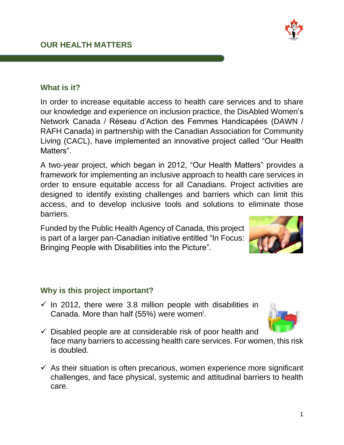$\checkmark$  Disabled people are at considerable risk of poor health and face many barriers to accessing health care services. For women, this risk is doubled.

 $\checkmark$  As their situation is often precarious, women experience more significant challenges, and face physical, systemic and attitudinal barriers to health

# Canada. More than half (55%) were women<sup>i</sup>.

care.

- **Why is this project important?**  $\checkmark$  In 2012, there were 3.8 million people with disabilities in
- 

# **What is it?**

In order to increase equitable access to health care services and to share our knowledge and experience on inclusion practice, the DisAbled Women's Network Canada / Réseau d'Action des Femmes Handicapées (DAWN / RAFH Canada) in partnership with the Canadian Association for Community Living (CACL), have implemented an innovative project called "Our Health Matters".

A two-year project, which began in 2012, "Our Health Matters" provides a framework for implementing an inclusive approach to health care services in order to ensure equitable access for all Canadians. Project activities are designed to identify existing challenges and barriers which can limit this access, and to develop inclusive tools and solutions to eliminate those barriers.

# Funded by the Public Health Agency of Canada, this project is part of a larger pan-Canadian initiative entitled "In Focus: Bringing People with Disabilities into the Picture".





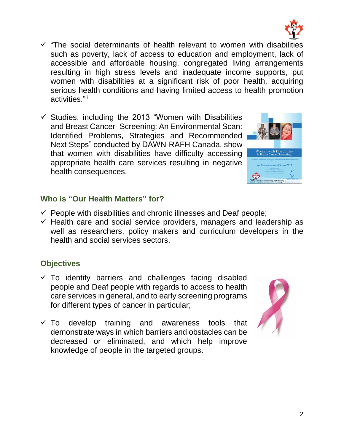2

- $\checkmark$  "The social determinants of health relevant to women with disabilities such as poverty, lack of access to education and employment, lack of accessible and affordable housing, congregated living arrangements resulting in high stress levels and inadequate income supports, put women with disabilities at a significant risk of poor health, acquiring serious health conditions and having limited access to health promotion activities."<sup>ii</sup>
- $\checkmark$  Studies, including the 2013 "Women with Disabilities and Breast Cancer- Screening: An Environmental Scan: Identified Problems, Strategies and Recommended Next Steps" conducted by DAWN-RAFH Canada, show that women with disabilities have difficulty accessing appropriate health care services resulting in negative health consequences.

### **Who is "Our Health Matters" for?**

- $\checkmark$  People with disabilities and chronic illnesses and Deaf people;
- $\checkmark$  Health care and social service providers, managers and leadership as well as researchers, policy makers and curriculum developers in the health and social services sectors.

## **Objectives**

- $\checkmark$  To identify barriers and challenges facing disabled people and Deaf people with regards to access to health care services in general, and to early screening programs for different types of cancer in particular;
- $\checkmark$  To develop training and awareness tools that demonstrate ways in which barriers and obstacles can be decreased or eliminated, and which help improve knowledge of people in the targeted groups.





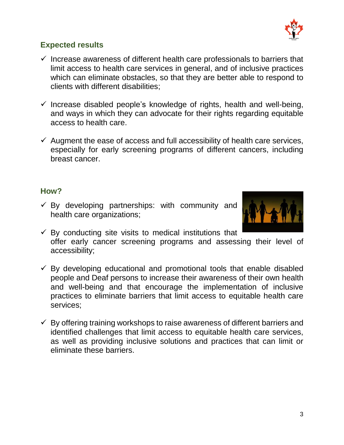

#### **Expected results**

- $\checkmark$  Increase awareness of different health care professionals to barriers that limit access to health care services in general, and of inclusive practices which can eliminate obstacles, so that they are better able to respond to clients with different disabilities;
- $\checkmark$  Increase disabled people's knowledge of rights, health and well-being, and ways in which they can advocate for their rights regarding equitable access to health care.
- $\checkmark$  Augment the ease of access and full accessibility of health care services, especially for early screening programs of different cancers, including breast cancer.

#### **How?**

 $\checkmark$  By developing partnerships: with community and health care organizations;



- $\checkmark$  By conducting site visits to medical institutions that offer early cancer screening programs and assessing their level of accessibility;
- $\checkmark$  By developing educational and promotional tools that enable disabled people and Deaf persons to increase their awareness of their own health and well-being and that encourage the implementation of inclusive practices to eliminate barriers that limit access to equitable health care services;
- $\checkmark$  By offering training workshops to raise awareness of different barriers and identified challenges that limit access to equitable health care services, as well as providing inclusive solutions and practices that can limit or eliminate these barriers.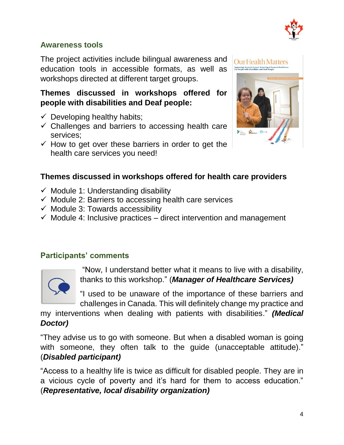

#### **Awareness tools**

The project activities include bilingual awareness and education tools in accessible formats, as well as workshops directed at different target groups.

**Themes discussed in workshops offered for people with disabilities and Deaf people:**

- $\checkmark$  Developing healthy habits;
- $\checkmark$  Challenges and barriers to accessing health care services;
- $\checkmark$  How to get over these barriers in order to get the health care services you need!



#### **Themes discussed in workshops offered for health care providers**

- $\checkmark$  Module 1: Understanding disability
- $\checkmark$  Module 2: Barriers to accessing health care services
- $\checkmark$  Module 3: Towards accessibility
- $\checkmark$  Module 4: Inclusive practices direct intervention and management

#### **Participants' comments**



"Now, I understand better what it means to live with a disability, thanks to this workshop." (*Manager of Healthcare Services)*

"I used to be unaware of the importance of these barriers and challenges in Canada. This will definitely change my practice and

my interventions when dealing with patients with disabilities." *(Medical Doctor)*

"They advise us to go with someone. But when a disabled woman is going with someone, they often talk to the quide (unacceptable attitude)." (*Disabled participant)*

"Access to a healthy life is twice as difficult for disabled people. They are in a vicious cycle of poverty and it's hard for them to access education." (*Representative, local disability organization)*